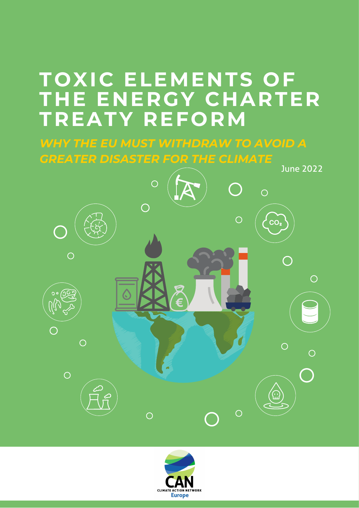### **TOXIC ELEMENTS OF THE ENERGY CHARTER TREATY REFORM**

*WHY THE EU MUST WITHDRAW TO AVOID A GREATER DISASTER FOR THE CLIMATE*



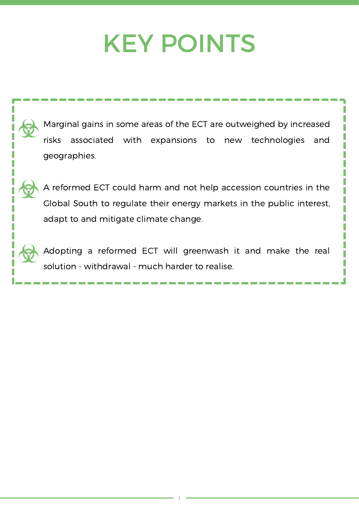## KEY POINTS

Marginal gains in some areas of the ECT are outweighed by increased risks associated with expansions to new technologies and geographies.

A reformed ECT could harm and not help accession countries in the Global South to regulate their energy markets in the public interest, adapt to and mitigate climate change.

Adopting a reformed ECT will greenwash it and make the real solution - withdrawal - much harder to realise.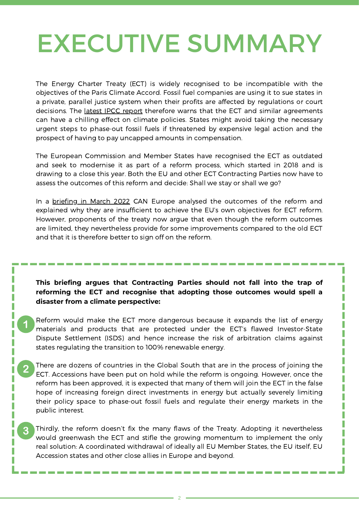## [EX](#page-3-0)ECUTIVE SUMMARY

The Energy Charter Treaty (ECT) is widely recognised to be incompatible with the objectives of the Paris Climate Accord. Fossil fuel companies are using it to sue states in a private, parallel justice system when their profits are affected by regulations or court decisions. The latest IPCC [report](https://www.ipcc.ch/report/ar6/wg3/) therefore warns that the ECT and similar agreements can have a chilling effect on climate policies. States might avoid taking the necessary urgent steps to phase-out fossil fuels if threatened by expensive legal action and the prospect of having to pay uncapped amounts in compensation.

The European Commission and Member States have recognised the ECT as outdated and seek to modernise it as part of a reform process, which started in 2018 and is drawing to a close this year. Both the EU and other ECT Contracting Parties now have to assess the outcomes of this reform and decide: Shall we stay or shall we go?

In a [briefing](https://caneurope.org/content/uploads/2022/03/ECT-reform-briefing-March-2022.pdf) in March 2022 CAN Europe analysed the outcomes of the reform and explained why they are insufficient to achieve the EU's own objectives for ECT reform. However, proponents of the treaty now argue that even though the reform outcomes are limited, they nevertheless provide for some improvements compared to the old ECT and that it is therefore better to sign off on the reform.

#### **This briefing argues that Contracting Parties should not fall into the trap of reforming the ECT and recognise that adopting those outcomes would spell a disaster from a climate perspective:**

Reform would make the ECT more dangerous because it expands the list of energy materials and products that are protected under the ECT's flawed Investor-State Dispute Settlement (ISDS) and hence increase the risk of arbitration claims against states regulating the transition to 100% renewable energy.

There are dozens of countries in the Global South that are in the process of joining the  $\mathbf{2}$ ECT. Accessions have been put on hold while the reform is ongoing. However, once the reform has been approved, it is expected that many of them will join the ECT in the false hope of increasing foreign direct investments in energy but actually severely limiting their policy space to phase-out fossil fuels and regulate their energy markets in the public interest.

Π

Thirdly, the reform doesn't fix the many flaws of the Treaty. Adopting it nevertheless would greenwash the ECT and stifle the growing momentum to implement the only real solution: A coordinated withdrawal of ideally all EU Member States, the EU itself, EU Accession states and other close allies in Europe and beyond.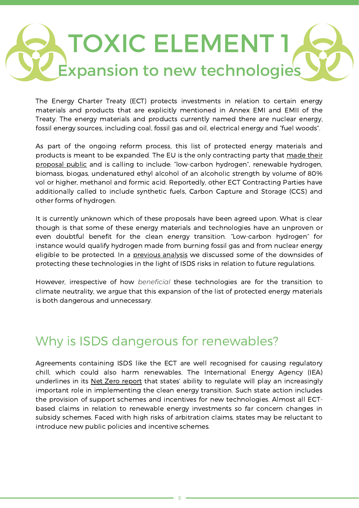# <span id="page-3-0"></span>TOXIC ELEMENT 1 Expansion to new technologies

The Energy Charter Treaty (ECT) protects investments in relation to certain energy materials and products that are explicitly mentioned in Annex EMI and EMII of the Treaty. The energy materials and products currently named there are nuclear energy, fossil energy sources, including coal, fossil gas and oil, electrical energy and "fuel woods".

As part of the ongoing reform process, this list of protected energy materials and products is meant to be expanded. The EU is the only contracting party that made their proposal public and is calling to include: ["low-carbon](https://trade.ec.europa.eu/doclib/docs/2021/february/tradoc_159436.pdf) hydrogen", renewable hydrogen, biomass, biogas, undenatured ethyl alcohol of an alcoholic strength by volume of 80% vol or higher, methanol and formic acid. Reportedly, other ECT Contracting Parties have additionally called to include synthetic fuels, Carbon Capture and Storage (CCS) and other forms of hydrogen.

It is currently unknown which of these proposals have been agreed upon. What is clear though is that some of these energy materials and technologies have an unproven or even doubtful benefit for the clean energy transition. "Low-carbon hydrogen" for instance would qualify hydrogen made from burning fossil gas and from nuclear energy eligible to be protected. In a [previous](https://caneurope.org/content/uploads/2021/02/Analysis-of-the-COM-proposal-for-ECT-modernisation-on-the-Definition-of-Economic-Activity-in-the-Energy-Sector_February-2021.pdf) analysis we discussed some of the downsides of protecting these technologies in the light of ISDS risks in relation to future regulations.

However, irrespective of how *beneficial* these technologies are for the transition to climate neutrality, we argue that this expansion of the list of protected energy materials is both dangerous and unnecessary.

#### Why is ISDS dangerous for renewables?

Agreements containing ISDS like the ECT are well recognised for causing regulatory chill, which could also harm renewables. The International Energy Agency (IEA) underlines in its Net Zero [report](https://www.iea.org/reports/net-zero-by-2050) that states' ability to regulate will play an increasingly important role in implementing the clean energy transition. Such state action includes the provision of support schemes and incentives for new technologies. Almost all ECTbased claims in relation to renewable energy investments so far concern changes in subsidy schemes. Faced with high risks of arbitration claims, states may be reluctant to introduce new public policies and incentive schemes.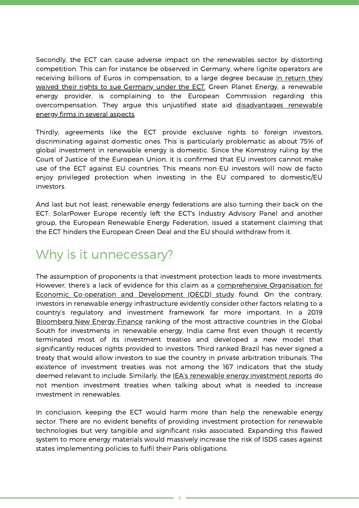Secondly, the ECT can cause adverse impact on the renewables sector by distorting competition. This can for instance be observed in Germany, where lignite operators are receiving billions of Euros in [compensation,](https://www.globaljustice.org.uk/wp-content/uploads/2022/04/CoalRansom_ECTGermanCoalPhaseout_Apr2022.pdf) to a large degree because [i](https://www.globaljustice.org.uk/wp-content/uploads/2022/04/CoalRansom_ECTGermanCoalPhaseout_Apr2022.pdf)n return they waived their rights to sue Germany under the ECT. Green Planet Energy, a renewable energy provider, is complaining to the European Commission regarding this [overcompensation.](https://green-planet-energy.de/presse/artikel/greenpeace-energy-legt-offiziell-beschwerde-bei-eu-kommission-ein.html) They argue this unjustified state aid disadvantages renewable energy firms in several aspects.

Thirdly, agreements like the ECT provide exclusive rights to foreign investors, discriminating against domestic ones. This is particularly problematic as about 75% of global investment in renewable energy is domestic. Since the Komstroy ruling by the Court of Justice of the European Union, it is confirmed that EU investors cannot make use of the ECT against EU countries. This means non-EU investors will now de facto enjoy privileged protection when investing in the EU compared to domestic/EU investors.

And last but not least, renewable energy federations are also turning their back on the ECT: SolarPower Europe recently left the ECT's Industry Advisory Panel and another group, the European Renewable Energy Federation, issued a statement claiming that the ECT hinders the European Green Deal and the EU should withdraw from it.

### Why is it unnecessary?

The assumption of proponents is that investment protection leads to more investments. However, there's a lack of evidence for this claim as a [comprehensive](https://read.oecd-ilibrary.org/finance-and-investment/societal-benefits-and-costs-of-international-investment-agreements_e5f85c3d-en#page1) Organisation for Economic Co-operation and Development (OECD) study found. On the contrary, investors in renewable energy infrastructure evidently consider other factors relating to a country's regulatory and investment framework far more important. In a 2019 [Bloomberg](https://global-climatescope.org/) New Energy Finance ranking of the most attractive countries in the Global South for investments in renewable energy, India came first even though it recently terminated most of its investment treaties and developed a new model that significantly reduces rights provided to investors. Third ranked Brazil has never signed a treaty that would allow investors to sue the country in private arbitration tribunals. The existence of investment treaties was not among the 167 indicators that the study deemed relevant to include. Similarly, the **[I](https://www.iea.org/reports/world-energy-investment-2020)EA's renewable energy [investment](https://www.iea.org/reports/world-energy-investment-2020) reports** do not mention investment treaties when talking about what is needed to increase investment in renewables.

In conclusion, keeping the ECT would harm more than help the renewable energy sector. There are no evident benefits of providing investment protection for renewable technologies but very tangible and significant risks associated. Expanding this flawed system to more energy materials would massively increase the risk of ISDS cases against states implementing policies to fulfil their Paris obligations.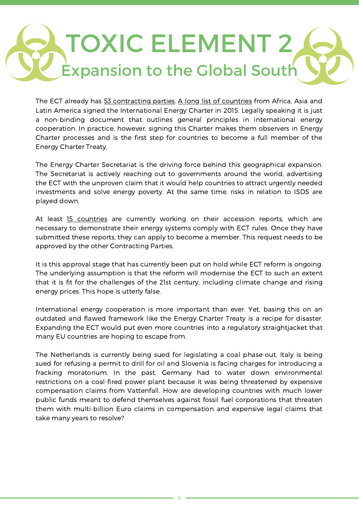# TOXIC ELEMENT 2  $\mathsf{\dot{\mathsf{E}}}$ xpansion to the Global Sout $\mathsf{\dot{\mathsf{F}}}$

The ECT already has 53 [contracting](https://www.energycharter.org/process/energy-charter-treaty-1994/energy-charter-treaty/) parties. A long list of [countries](https://www.energycharter.org/process/international-energy-charter-2015/overview/) from Africa, Asia and Latin America signed the International Energy Charter in 2015. Legally speaking it is just a non-binding document that outlines general principles in international energy cooperation. In practice, however, signing this Charter makes them observers in Energy Charter processes and is the first step for countries to become a full member of the Energy Charter Treaty.

The Energy Charter Secretariat is the driving force behind this geographical expansion. The Secretariat is actively reaching out to governments around the world, advertising the ECT with the unproven claim that it would help countries to attract urgently needed investments and solve energy poverty. At the same time, risks in relation to ISDS are played down.

At least 15 [countries](https://energy-charter-dirty-secrets.org/wp-content/uploads/2020/04/ECT-Silent-expansion.pdf) are currently working on their accession reports, which are necessary to demonstrate their energy systems comply with ECT rules. Once they have submitted these reports, they can apply to become a member. This request needs to be approved by the other Contracting Parties.

It is this approval stage that has currently been put on hold while ECT reform is ongoing. The underlying assumption is that the reform will modernise the ECT to such an extent that it is fit for the challenges of the 21st century, including climate change and rising energy prices. This hope is utterly false.

International energy cooperation is more important than ever. Yet, basing this on an outdated and flawed framework like the Energy Charter Treaty is a recipe for disaster. Expanding the ECT would put even more countries into a regulatory straightjacket that many EU countries are hoping to escape from.

The Netherlands is currently being sued for legislating a coal phase-out, Italy is being sued for refusing a permit to drill for oil and Slovenia is facing charges for introducing a fracking moratorium. In the past, Germany had to water down environmental restrictions on a coal-fired power plant because it was being threatened by expensive compensation claims from Vattenfall. How are developing countries with much lower public funds meant to defend themselves against fossil fuel corporations that threaten them with multi-billion Euro claims in compensation and expensive legal claims that take many years to resolve?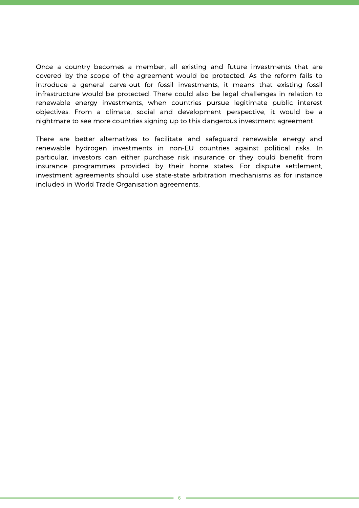Once a country becomes a member, all existing and future investments that are covered by the scope of the agreement would be protected. As the reform fails to introduce a general carve-out for fossil investments, it means that existing fossil infrastructure would be protected. There could also be legal challenges in relation to renewable energy investments, when countries pursue legitimate public interest objectives. From a climate, social and development perspective, it would be a nightmare to see more countries signing up to this dangerous investment agreement.

There are better alternatives to facilitate and safeguard renewable energy and renewable hydrogen investments in non-EU countries against political risks. In particular, investors can either purchase risk insurance or they could benefit from insurance programmes provided by their home states. For dispute settlement, investment agreements should use state-state arbitration mechanisms as for instance included in World Trade Organisation agreements.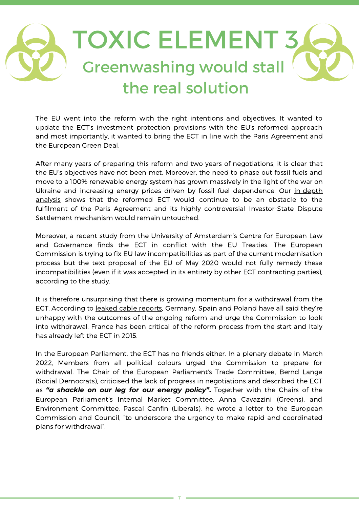## TOXIC ELEMENT 3 Greenwashing would stall the real solution

The EU went into the reform with the right intentions and objectives. It wanted to update the ECT's investment protection provisions with the EU's reformed approach and most importantly, it wanted to bring the ECT in line with the Paris Agreement and the European Green Deal.

After many years of preparing this reform and two years of negotiations, it is clear that the EU's objectives have not been met. Moreover, the need to phase out fossil fuels and move to a 100% renewable energy system has grown massively in the light of the war on Ukraine and increasing energy prices driven by fossil fuel [dependence.](https://caneurope.org/content/uploads/2022/03/ECT-reform-briefing-March-2022.pdf) Our in-depth analysis shows that the reformed ECT would continue to be an obstacle to the fulfilment of the Paris Agreement and its highly controversial Investor-State Dispute Settlement mechanism would remain untouched.

Moreover, a recent study from the University of [Amsterdam's](https://www.clientearth.org/media/2n2po04j/report-on-ect-compatibility-with-eu-law.pdf) Centre for European Law and Governance finds the ECT in conflict with the EU Treaties. The European Commission is trying to fix EU law incompatibilities as part of the current modernisation process but the text proposal of the EU of May 2020 would not fully remedy these incompatibilities (even if it was accepted in its entirety by other ECT contracting parties), according to the study.

It is therefore unsurprising that there is growing momentum for a withdrawal from the ECT. According to leaked cable [reports,](https://www.euractiv.com/section/energy/news/europe-edging-closer-to-withdrawal-from-energy-charter-treaty/) Germany, Spain and Poland have all said they're unhappy with the outcomes of the ongoing reform and urge the Commission to look into withdrawal. France has been critical of the reform process from the start and Italy has already left the ECT in 2015.

In the European Parliament, the ECT has no friends either. In a plenary debate in March 2022, Members from all political colours urged the Commission to prepare for withdrawal. The Chair of the European Parliament's Trade Committee, Bernd Lange (Social Democrats), criticised the lack of progress in negotiations and described the ECT as *"a shackle on our leg for our energy policy"***.** Together with the Chairs of the European Parliament's Internal Market Committee, Anna Cavazzini (Greens), and Environment Committee, Pascal Canfin (Liberals), he wrote a letter to the European Commission and Council, "to underscore the urgency to make rapid and coordinated plans for withdrawal".

7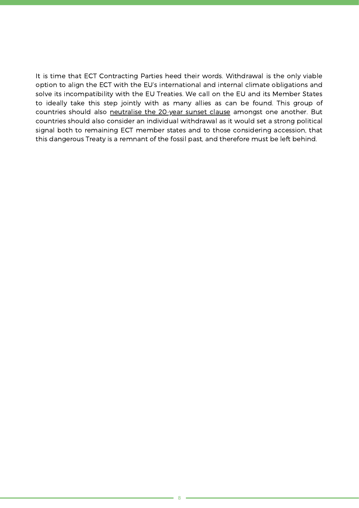It is time that ECT Contracting Parties heed their words. Withdrawal is the only viable option to align the ECT with the EU's international and internal climate obligations and solve its incompatibility with the EU Treaties. We call on the EU and its Member States to ideally take this step jointly with as many allies as can be found. This group of countries should also [neutralise](https://www.iisd.org/itn/en/2021/06/24/energy-charter-treaty-reform-why-withdrawal-is-an-option/) the 20-year sunset clause amongst one another. But countries should also consider an individual withdrawal as it would set a strong political signal both to remaining ECT member states and to those considering accession, that this dangerous Treaty is a remnant of the fossil past, and therefore must be left behind.